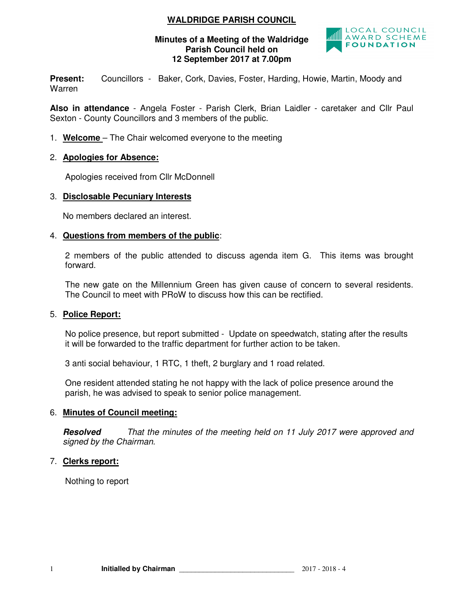## **WALDRIDGE PARISH COUNCIL**

## **Minutes of a Meeting of the Waldridge Parish Council held on 12 September 2017 at 7.00pm**



Present: Councillors - Baker, Cork, Davies, Foster, Harding, Howie, Martin, Moody and Warren

**Also in attendance** - Angela Foster - Parish Clerk, Brian Laidler - caretaker and Cllr Paul Sexton - County Councillors and 3 members of the public.

1. **Welcome** – The Chair welcomed everyone to the meeting

## 2. **Apologies for Absence:**

Apologies received from Cllr McDonnell

## 3. **Disclosable Pecuniary Interests**

No members declared an interest.

## 4. **Questions from members of the public**:

2 members of the public attended to discuss agenda item G. This items was brought forward.

The new gate on the Millennium Green has given cause of concern to several residents. The Council to meet with PRoW to discuss how this can be rectified.

## 5. **Police Report:**

No police presence, but report submitted - Update on speedwatch, stating after the results it will be forwarded to the traffic department for further action to be taken.

3 anti social behaviour, 1 RTC, 1 theft, 2 burglary and 1 road related.

One resident attended stating he not happy with the lack of police presence around the parish, he was advised to speak to senior police management.

## 6. **Minutes of Council meeting:**

**Resolved** *That the minutes of the meeting held on 11 July 2017 were approved and signed by the Chairman.* 

## 7. **Clerks report:**

Nothing to report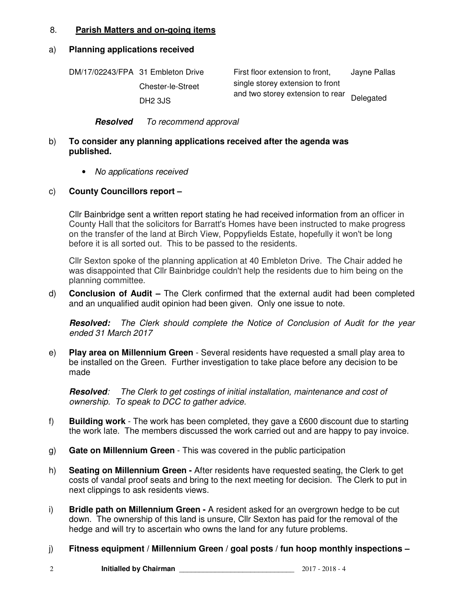## 8. **Parish Matters and on-going items**

#### a) **Planning applications received**

| DM/17/02243/FPA 31 Embleton Drive | First floor extension to front,                                      | Jayne Pallas |
|-----------------------------------|----------------------------------------------------------------------|--------------|
| <b>Chester-le-Street</b>          | single storey extension to front<br>and two storey extension to rear |              |
| DH <sub>2</sub> 3JS               |                                                                      | Delegated    |

#### **Resolved** *To recommend approval*

## b) **To consider any planning applications received after the agenda was published.**

• *No applications received* 

## c) **County Councillors report –**

Cllr Bainbridge sent a written report stating he had received information from an officer in County Hall that the solicitors for Barratt's Homes have been instructed to make progress on the transfer of the land at Birch View, Poppyfields Estate, hopefully it won't be long before it is all sorted out. This to be passed to the residents.

Cllr Sexton spoke of the planning application at 40 Embleton Drive. The Chair added he was disappointed that Cllr Bainbridge couldn't help the residents due to him being on the planning committee.

d) **Conclusion of Audit –** The Clerk confirmed that the external audit had been completed and an unqualified audit opinion had been given. Only one issue to note.

**Resolved:** *The Clerk should complete the Notice of Conclusion of Audit for the year ended 31 March 2017*

e) **Play area on Millennium Green** - Several residents have requested a small play area to be installed on the Green. Further investigation to take place before any decision to be made

**Resolved***: The Clerk to get costings of initial installation, maintenance and cost of ownership. To speak to DCC to gather advice.* 

- f) **Building work**  The work has been completed, they gave a £600 discount due to starting the work late. The members discussed the work carried out and are happy to pay invoice.
- g) **Gate on Millennium Green** This was covered in the public participation
- h) **Seating on Millennium Green** After residents have requested seating, the Clerk to get costs of vandal proof seats and bring to the next meeting for decision. The Clerk to put in next clippings to ask residents views.
- i) **Bridle path on Millennium Green** A resident asked for an overgrown hedge to be cut down. The ownership of this land is unsure, Cllr Sexton has paid for the removal of the hedge and will try to ascertain who owns the land for any future problems.
- j) **Fitness equipment / Millennium Green / goal posts / fun hoop monthly inspections**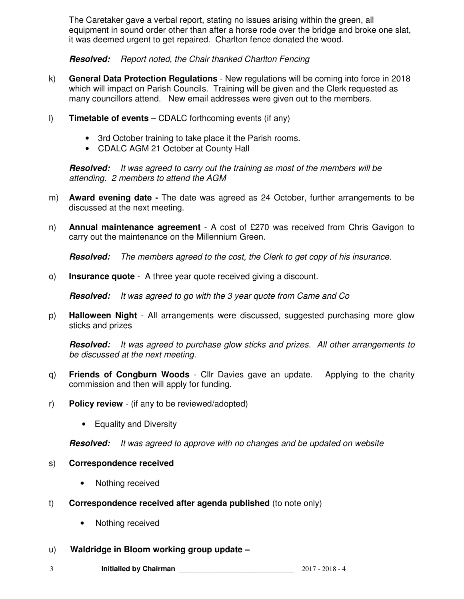The Caretaker gave a verbal report, stating no issues arising within the green, all equipment in sound order other than after a horse rode over the bridge and broke one slat, it was deemed urgent to get repaired. Charlton fence donated the wood.

**Resolved:** *Report noted, the Chair thanked Charlton Fencing* 

- k) **General Data Protection Regulations**  New regulations will be coming into force in 2018 which will impact on Parish Councils. Training will be given and the Clerk requested as many councillors attend. New email addresses were given out to the members.
- l) **Timetable of events** CDALC forthcoming events (if any)
	- 3rd October training to take place it the Parish rooms.
	- CDALC AGM 21 October at County Hall

**Resolved:** *It was agreed to carry out the training as most of the members will be attending. 2 members to attend the AGM* 

- m) **Award evening date** The date was agreed as 24 October, further arrangements to be discussed at the next meeting.
- n) **Annual maintenance agreement** A cost of £270 was received from Chris Gavigon to carry out the maintenance on the Millennium Green.

**Resolved:** *The members agreed to the cost, the Clerk to get copy of his insurance.* 

o) **Insurance quote** - A three year quote received giving a discount.

**Resolved:** *It was agreed to go with the 3 year quote from Came and Co* 

p) **Halloween Night** - All arrangements were discussed, suggested purchasing more glow sticks and prizes

**Resolved:** *It was agreed to purchase glow sticks and prizes. All other arrangements to be discussed at the next meeting.*

- q) **Friends of Congburn Woods**  Cllr Davies gave an update. Applying to the charity commission and then will apply for funding.
- r) **Policy review**  (if any to be reviewed/adopted)
	- Equality and Diversity

**Resolved:** *It was agreed to approve with no changes and be updated on website*

## s) **Correspondence received**

- Nothing received
- t) **Correspondence received after agenda published** (to note only)
	- Nothing received
- u) **Waldridge in Bloom working group update**

3 **Initialled by Chairman** \_\_\_\_\_\_\_\_\_\_\_\_\_\_\_\_\_\_\_\_\_\_\_\_\_\_\_\_\_ 2017 - 2018 - 4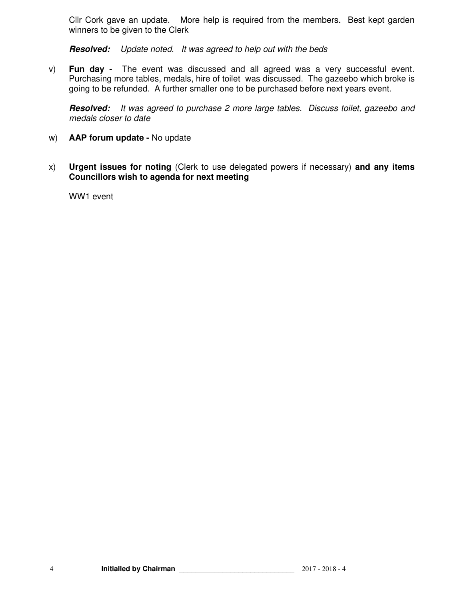Cllr Cork gave an update. More help is required from the members. Best kept garden winners to be given to the Clerk

**Resolved:** *Update noted. It was agreed to help out with the beds*

v) **Fun day -** The event was discussed and all agreed was a very successful event. Purchasing more tables, medals, hire of toilet was discussed. The gazeebo which broke is going to be refunded. A further smaller one to be purchased before next years event.

**Resolved:** *It was agreed to purchase 2 more large tables. Discuss toilet, gazeebo and medals closer to date* 

- w) **AAP forum update** No update
- x) **Urgent issues for noting** (Clerk to use delegated powers if necessary) **and any items Councillors wish to agenda for next meeting**

WW1 event